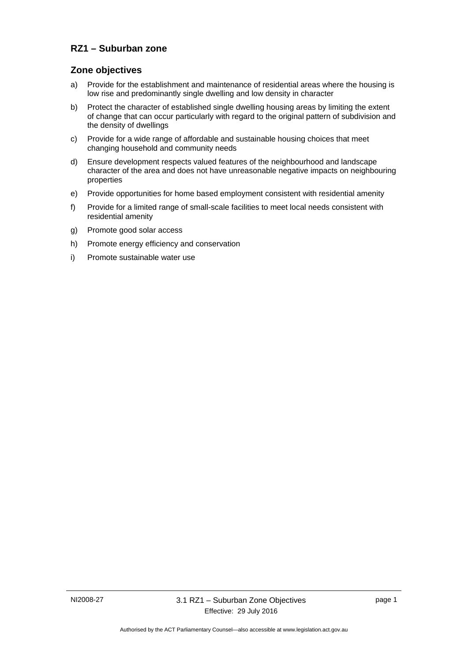## **RZ1 – Suburban zone**

### **Zone objectives**

- a) Provide for the establishment and maintenance of residential areas where the housing is low rise and predominantly single dwelling and low density in character
- b) Protect the character of established single dwelling housing areas by limiting the extent of change that can occur particularly with regard to the original pattern of subdivision and the density of dwellings
- c) Provide for a wide range of affordable and sustainable housing choices that meet changing household and community needs
- d) Ensure development respects valued features of the neighbourhood and landscape character of the area and does not have unreasonable negative impacts on neighbouring properties
- e) Provide opportunities for home based employment consistent with residential amenity
- f) Provide for a limited range of small-scale facilities to meet local needs consistent with residential amenity
- g) Promote good solar access
- h) Promote energy efficiency and conservation
- i) Promote sustainable water use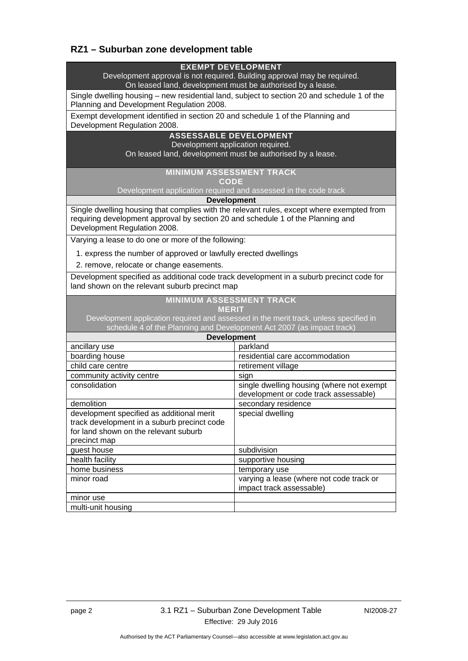# **RZ1 – Suburban zone development table**

| <b>EXEMPT DEVELOPMENT</b><br>Development approval is not required. Building approval may be required.                                                                                                        |                                                                                    |  |
|--------------------------------------------------------------------------------------------------------------------------------------------------------------------------------------------------------------|------------------------------------------------------------------------------------|--|
| On leased land, development must be authorised by a lease.                                                                                                                                                   |                                                                                    |  |
| Single dwelling housing - new residential land, subject to section 20 and schedule 1 of the<br>Planning and Development Regulation 2008.                                                                     |                                                                                    |  |
| Exempt development identified in section 20 and schedule 1 of the Planning and<br>Development Regulation 2008.                                                                                               |                                                                                    |  |
| <b>ASSESSABLE DEVELOPMENT</b>                                                                                                                                                                                |                                                                                    |  |
| Development application required.<br>On leased land, development must be authorised by a lease.                                                                                                              |                                                                                    |  |
| <b>MINIMUM ASSESSMENT TRACK</b><br><b>CODE</b>                                                                                                                                                               |                                                                                    |  |
| Development application required and assessed in the code track                                                                                                                                              |                                                                                    |  |
| <b>Development</b>                                                                                                                                                                                           |                                                                                    |  |
| Single dwelling housing that complies with the relevant rules, except where exempted from<br>requiring development approval by section 20 and schedule 1 of the Planning and<br>Development Regulation 2008. |                                                                                    |  |
| Varying a lease to do one or more of the following:                                                                                                                                                          |                                                                                    |  |
| 1. express the number of approved or lawfully erected dwellings                                                                                                                                              |                                                                                    |  |
| 2. remove, relocate or change easements.                                                                                                                                                                     |                                                                                    |  |
| Development specified as additional code track development in a suburb precinct code for<br>land shown on the relevant suburb precinct map                                                                   |                                                                                    |  |
| <b>MINIMUM ASSESSMENT TRACK</b><br><b>MERIT</b>                                                                                                                                                              |                                                                                    |  |
| Development application required and assessed in the merit track, unless specified in<br>schedule 4 of the Planning and Development Act 2007 (as impact track)                                               |                                                                                    |  |
| <b>Development</b>                                                                                                                                                                                           |                                                                                    |  |
| ancillary use                                                                                                                                                                                                | parkland                                                                           |  |
| boarding house                                                                                                                                                                                               | residential care accommodation                                                     |  |
| child care centre                                                                                                                                                                                            | retirement village                                                                 |  |
| community activity centre                                                                                                                                                                                    | sign                                                                               |  |
| consolidation                                                                                                                                                                                                | single dwelling housing (where not exempt<br>development or code track assessable) |  |
| demolition                                                                                                                                                                                                   | secondary residence                                                                |  |
| development specified as additional merit                                                                                                                                                                    | special dwelling                                                                   |  |
| track development in a suburb precinct code                                                                                                                                                                  |                                                                                    |  |
| for land shown on the relevant suburb                                                                                                                                                                        |                                                                                    |  |
| precinct map                                                                                                                                                                                                 | subdivision                                                                        |  |
| guest house<br>health facility                                                                                                                                                                               | supportive housing                                                                 |  |
| home business                                                                                                                                                                                                | temporary use                                                                      |  |
| minor road                                                                                                                                                                                                   | varying a lease (where not code track or                                           |  |
|                                                                                                                                                                                                              | impact track assessable)                                                           |  |
| minor use                                                                                                                                                                                                    |                                                                                    |  |
| multi-unit housing                                                                                                                                                                                           |                                                                                    |  |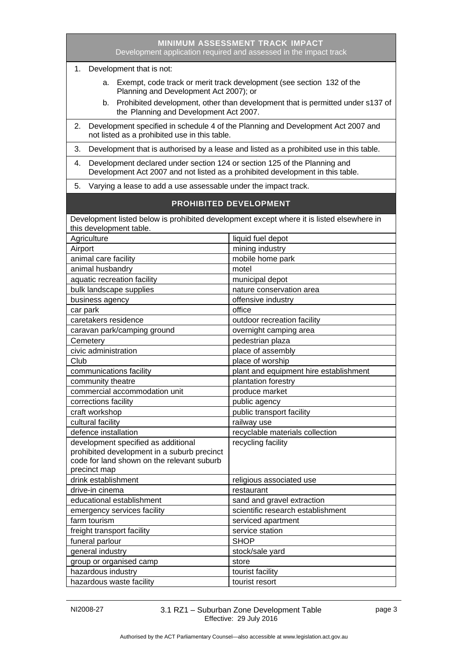| <b>MINIMUM ASSESSMENT TRACK IMPACT</b><br>Development application required and assessed in the impact track                                                       |                                        |  |
|-------------------------------------------------------------------------------------------------------------------------------------------------------------------|----------------------------------------|--|
| Development that is not:<br>1.                                                                                                                                    |                                        |  |
| Exempt, code track or merit track development (see section 132 of the<br>а.<br>Planning and Development Act 2007); or                                             |                                        |  |
| b. Prohibited development, other than development that is permitted under s137 of<br>the Planning and Development Act 2007.                                       |                                        |  |
| Development specified in schedule 4 of the Planning and Development Act 2007 and<br>2.<br>not listed as a prohibited use in this table.                           |                                        |  |
| 3.<br>Development that is authorised by a lease and listed as a prohibited use in this table.                                                                     |                                        |  |
| Development declared under section 124 or section 125 of the Planning and<br>4.<br>Development Act 2007 and not listed as a prohibited development in this table. |                                        |  |
| 5.<br>Varying a lease to add a use assessable under the impact track.                                                                                             |                                        |  |
| <b>PROHIBITED DEVELOPMENT</b>                                                                                                                                     |                                        |  |
| Development listed below is prohibited development except where it is listed elsewhere in                                                                         |                                        |  |
| this development table.                                                                                                                                           |                                        |  |
| Agriculture                                                                                                                                                       | liquid fuel depot                      |  |
| Airport                                                                                                                                                           | mining industry                        |  |
| animal care facility                                                                                                                                              | mobile home park                       |  |
| animal husbandry                                                                                                                                                  | motel                                  |  |
| aquatic recreation facility                                                                                                                                       | municipal depot                        |  |
| bulk landscape supplies                                                                                                                                           | nature conservation area               |  |
| business agency                                                                                                                                                   | offensive industry                     |  |
| car park                                                                                                                                                          | office                                 |  |
| caretakers residence                                                                                                                                              | outdoor recreation facility            |  |
| caravan park/camping ground                                                                                                                                       | overnight camping area                 |  |
| Cemetery                                                                                                                                                          | pedestrian plaza                       |  |
| civic administration                                                                                                                                              | place of assembly                      |  |
| Club                                                                                                                                                              | place of worship                       |  |
| communications facility                                                                                                                                           | plant and equipment hire establishment |  |
| community theatre                                                                                                                                                 | plantation forestry                    |  |
| commercial accommodation unit                                                                                                                                     | produce market                         |  |
| corrections facility                                                                                                                                              | public agency                          |  |
| craft workshop                                                                                                                                                    | public transport facility              |  |
| cultural facility                                                                                                                                                 | railway use                            |  |
| defence installation                                                                                                                                              | recyclable materials collection        |  |
| development specified as additional<br>prohibited development in a suburb precinct                                                                                | recycling facility                     |  |
| code for land shown on the relevant suburb                                                                                                                        |                                        |  |
| precinct map                                                                                                                                                      |                                        |  |
| drink establishment                                                                                                                                               | religious associated use               |  |
| drive-in cinema                                                                                                                                                   | restaurant                             |  |
| educational establishment                                                                                                                                         | sand and gravel extraction             |  |
| emergency services facility                                                                                                                                       | scientific research establishment      |  |
| farm tourism                                                                                                                                                      | serviced apartment                     |  |
| freight transport facility                                                                                                                                        | service station                        |  |
| funeral parlour                                                                                                                                                   | <b>SHOP</b>                            |  |
| general industry                                                                                                                                                  | stock/sale yard                        |  |
| group or organised camp                                                                                                                                           | store                                  |  |
| hazardous industry                                                                                                                                                | tourist facility                       |  |
| hazardous waste facility                                                                                                                                          | tourist resort                         |  |

NI2008-27 3.1 RZ1 – Suburban Zone Development Table Effective: 29 July 2016

i,